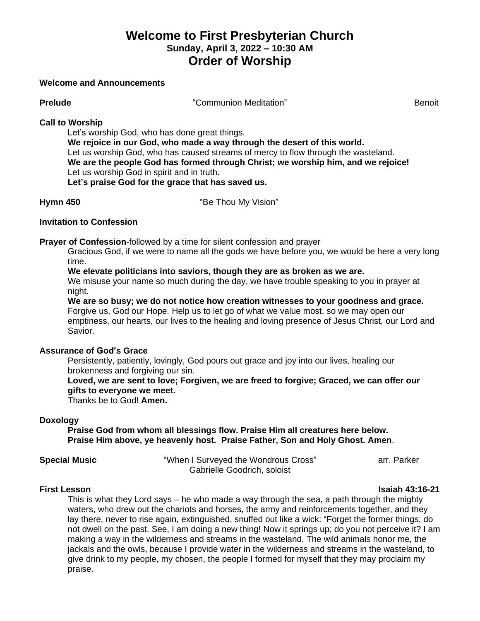# **Welcome to First Presbyterian Church Sunday, April 3, 2022 – 10:30 AM Order of Worship**

### **Welcome and Announcements**

**Prelude Example 2018 Benoit Communion Meditation Benoit Benoit Benoit** 

### **Call to Worship**

Let's worship God, who has done great things.

**We rejoice in our God, who made a way through the desert of this world.** Let us worship God, who has caused streams of mercy to flow through the wasteland. **We are the people God has formed through Christ; we worship him, and we rejoice!** Let us worship God in spirit and in truth. **Let's praise God for the grace that has saved us.**

**Hymn 450** "Be Thou My Vision"

### **Invitation to Confession**

**Prayer of Confession**-followed by a time for silent confession and prayer

Gracious God, if we were to name all the gods we have before you, we would be here a very long time.

### **We elevate politicians into saviors, though they are as broken as we are.**

We misuse your name so much during the day, we have trouble speaking to you in prayer at night.

**We are so busy; we do not notice how creation witnesses to your goodness and grace.** Forgive us, God our Hope. Help us to let go of what we value most, so we may open our emptiness, our hearts, our lives to the healing and loving presence of Jesus Christ, our Lord and Savior.

### **Assurance of God's Grace**

Persistently, patiently, lovingly, God pours out grace and joy into our lives, healing our brokenness and forgiving our sin.

**Loved, we are sent to love; Forgiven, we are freed to forgive; Graced, we can offer our gifts to everyone we meet.**

Thanks be to God! **Amen.**

### **Doxology**

**Praise God from whom all blessings flow. Praise Him all creatures here below. Praise Him above, ye heavenly host. Praise Father, Son and Holy Ghost. Amen**.

**Special Music Conservent Conserversity** "When I Surveyed the Wondrous Cross" arr. Parker Gabrielle Goodrich, soloist

### **First Lesson Isaiah 43:16-21**

This is what they Lord says – he who made a way through the sea, a path through the mighty waters, who drew out the chariots and horses, the army and reinforcements together, and they lay there, never to rise again, extinguished, snuffed out like a wick: "Forget the former things; do not dwell on the past. See, I am doing a new thing! Now it springs up; do you not perceive it? I am making a way in the wilderness and streams in the wasteland. The wild animals honor me, the jackals and the owls, because I provide water in the wilderness and streams in the wasteland, to give drink to my people, my chosen, the people I formed for myself that they may proclaim my praise.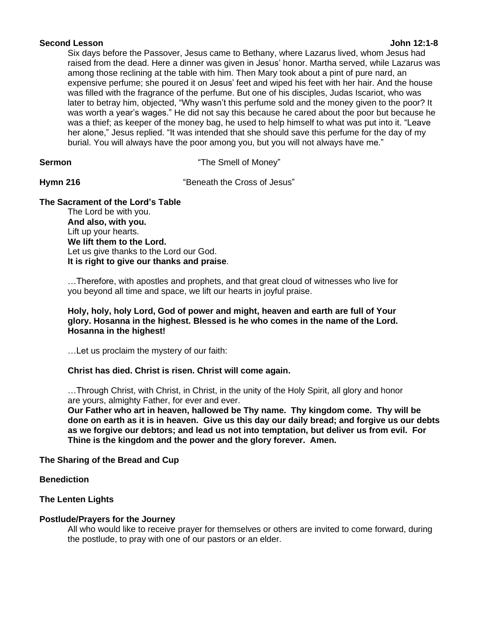### **Second Lesson John 12:1-8**

Six days before the Passover, Jesus came to Bethany, where Lazarus lived, whom Jesus had raised from the dead. Here a dinner was given in Jesus' honor. Martha served, while Lazarus was among those reclining at the table with him. Then Mary took about a pint of pure nard, an expensive perfume; she poured it on Jesus' feet and wiped his feet with her hair. And the house was filled with the fragrance of the perfume. But one of his disciples, Judas Iscariot, who was later to betray him, objected, "Why wasn't this perfume sold and the money given to the poor? It was worth a year's wages." He did not say this because he cared about the poor but because he was a thief; as keeper of the money bag, he used to help himself to what was put into it. "Leave her alone," Jesus replied. "It was intended that she should save this perfume for the day of my burial. You will always have the poor among you, but you will not always have me."

**Sermon** "The Smell of Money"

**Hymn 216** "Beneath the Cross of Jesus"

## **The Sacrament of the Lord's Table**

The Lord be with you. **And also, with you.** Lift up your hearts. **We lift them to the Lord.** Let us give thanks to the Lord our God. **It is right to give our thanks and praise**.

…Therefore, with apostles and prophets, and that great cloud of witnesses who live for you beyond all time and space, we lift our hearts in joyful praise.

### **Holy, holy, holy Lord, God of power and might, heaven and earth are full of Your glory. Hosanna in the highest. Blessed is he who comes in the name of the Lord. Hosanna in the highest!**

…Let us proclaim the mystery of our faith:

### **Christ has died. Christ is risen. Christ will come again.**

…Through Christ, with Christ, in Christ, in the unity of the Holy Spirit, all glory and honor are yours, almighty Father, for ever and ever.

**Our Father who art in heaven, hallowed be Thy name. Thy kingdom come. Thy will be** done on earth as it is in heaven. Give us this day our daily bread; and forgive us our debts **as we forgive our debtors; and lead us not into temptation, but deliver us from evil. For Thine is the kingdom and the power and the glory forever. Amen.**

**The Sharing of the Bread and Cup**

### **Benediction**

### **The Lenten Lights**

### **Postlude/Prayers for the Journey**

All who would like to receive prayer for themselves or others are invited to come forward, during the postlude, to pray with one of our pastors or an elder.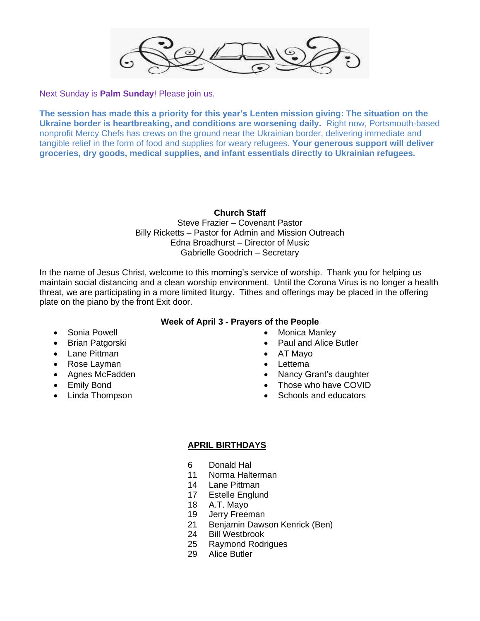

Next Sunday is **Palm Sunday**! Please join us.

**The session has made this a priority for this year's Lenten mission giving: The situation on the Ukraine border is heartbreaking, and conditions are worsening daily.** Right now, Portsmouth-based nonprofit Mercy Chefs has crews on the ground near the Ukrainian border, delivering immediate and tangible relief in the form of food and supplies for weary refugees. **Your generous support will deliver groceries, dry goods, medical supplies, and infant essentials directly to Ukrainian refugees.**

# **Church Staff**

Steve Frazier – Covenant Pastor Billy Ricketts – Pastor for Admin and Mission Outreach Edna Broadhurst – Director of Music Gabrielle Goodrich – Secretary

In the name of Jesus Christ, welcome to this morning's service of worship. Thank you for helping us maintain social distancing and a clean worship environment. Until the Corona Virus is no longer a health threat, we are participating in a more limited liturgy. Tithes and offerings may be placed in the offering plate on the piano by the front Exit door.

# **Week of April 3 - Prayers of the People**

- Sonia Powell
- Brian Patgorski
- Lane Pittman
- Rose Layman
- Agnes McFadden
- Emily Bond
- Linda Thompson
- **Monica Manley**
- Paul and Alice Butler
- AT Mayo
- Lettema
- Nancy Grant's daughter
- Those who have COVID
- Schools and educators

# **APRIL BIRTHDAYS**

- 6 Donald Hal
- 11 Norma Halterman
- 14 Lane Pittman
- 17 Estelle Englund
- 18 A.T. Mayo
- 19 Jerry Freeman
- 21 Benjamin Dawson Kenrick (Ben)
- 24 Bill Westbrook
- 25 Raymond Rodrigues
- 29 Alice Butler